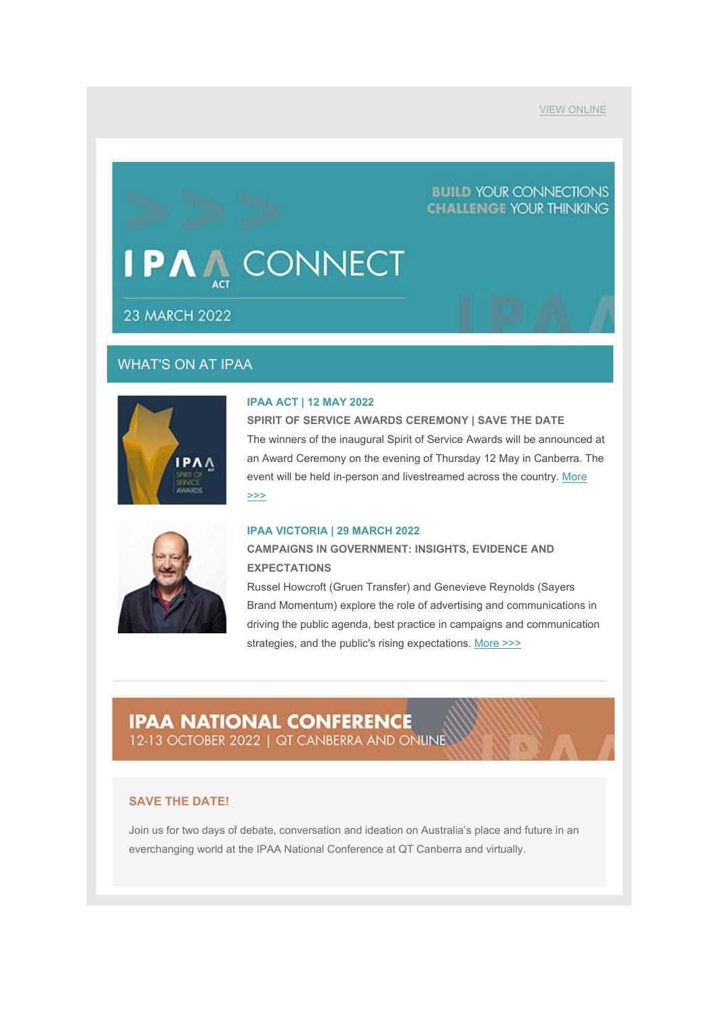[VIEW ONLINE](https://aus01.safelinks.protection.outlook.com/?url=https%3A%2F%2Fmailchi.mp%2F86a85033e709%2Fipaa-connect-23-march-2022%3Fe%3Df01f53c2f2&data=04%7C01%7Csarah.hope%40act.ipaa.org.au%7Ce97286b3b1574c3d8f0308da0c7932a9%7C988ae5fe7f854c17afb1bc28eeec1d16%7C0%7C0%7C637836011931998337%7CUnknown%7CTWFpbGZsb3d8eyJWIjoiMC4wLjAwMDAiLCJQIjoiV2luMzIiLCJBTiI6Ik1haWwiLCJXVCI6Mn0%3D%7C3000&sdata=LmBFCeVpQuM0v5eJzznTxxKB7uNwG5Ug%2F4ZexPlTbt0%3D&reserved=0)

## **BUILD YOUR CONNECTIONS CHALLENGE YOUR THINKING**

## P/ **CONNECT**

**23 MARCH 2022** 

## WHAT'S ON AT IPAA



#### **IPAA ACT | 12 MAY 2022**

**SPIRIT OF SERVICE AWARDS CEREMONY | SAVE THE DATE** The winners of the inaugural Spirit of Service Awards will be announced at an Award Ceremony on the evening of Thursday 12 May in Canberra. The event will be held in-person and livestreamed across the country. [More](https://aus01.safelinks.protection.outlook.com/?url=https%3A%2F%2Fipaa.us12.list-manage.com%2Ftrack%2Fclick%3Fu%3Dfb24f2b534c8ee743cb139793%26id%3D6d00d7cc6a%26e%3Df01f53c2f2&data=04%7C01%7Csarah.hope%40act.ipaa.org.au%7Ce97286b3b1574c3d8f0308da0c7932a9%7C988ae5fe7f854c17afb1bc28eeec1d16%7C0%7C0%7C637836011931998337%7CUnknown%7CTWFpbGZsb3d8eyJWIjoiMC4wLjAwMDAiLCJQIjoiV2luMzIiLCJBTiI6Ik1haWwiLCJXVCI6Mn0%3D%7C3000&sdata=GmF%2FsAvdcij21zIrGszVOjs4KUdhQh74%2BMYrM0x1uCs%3D&reserved=0)  [>>>](https://aus01.safelinks.protection.outlook.com/?url=https%3A%2F%2Fipaa.us12.list-manage.com%2Ftrack%2Fclick%3Fu%3Dfb24f2b534c8ee743cb139793%26id%3D6d00d7cc6a%26e%3Df01f53c2f2&data=04%7C01%7Csarah.hope%40act.ipaa.org.au%7Ce97286b3b1574c3d8f0308da0c7932a9%7C988ae5fe7f854c17afb1bc28eeec1d16%7C0%7C0%7C637836011931998337%7CUnknown%7CTWFpbGZsb3d8eyJWIjoiMC4wLjAwMDAiLCJQIjoiV2luMzIiLCJBTiI6Ik1haWwiLCJXVCI6Mn0%3D%7C3000&sdata=GmF%2FsAvdcij21zIrGszVOjs4KUdhQh74%2BMYrM0x1uCs%3D&reserved=0)



### **IPAA VICTORIA | 29 MARCH 2022**

**CAMPAIGNS IN GOVERNMENT: INSIGHTS, EVIDENCE AND EXPECTATIONS**

Russel Howcroft (Gruen Transfer) and Genevieve Reynolds (Sayers Brand Momentum) explore the role of advertising and communications in driving the public agenda, best practice in campaigns and communication strategies, and the public's rising expectations. [More >>>](https://aus01.safelinks.protection.outlook.com/?url=https%3A%2F%2Fipaa.us12.list-manage.com%2Ftrack%2Fclick%3Fu%3Dfb24f2b534c8ee743cb139793%26id%3D798313f88b%26e%3Df01f53c2f2&data=04%7C01%7Csarah.hope%40act.ipaa.org.au%7Ce97286b3b1574c3d8f0308da0c7932a9%7C988ae5fe7f854c17afb1bc28eeec1d16%7C0%7C0%7C637836011931998337%7CUnknown%7CTWFpbGZsb3d8eyJWIjoiMC4wLjAwMDAiLCJQIjoiV2luMzIiLCJBTiI6Ik1haWwiLCJXVCI6Mn0%3D%7C3000&sdata=WfnpE%2BflgUsZMtB%2ByqyJR%2BA8yuxCnA6w55Lh9GOIwC8%3D&reserved=0)

# **IPAA NATIONAL CONFERENCE**

12-13 OCTOBER 2022 | QT CANBERRA AND ONLINE

## **SAVE THE DATE!**

Join us for two days of debate, conversation and ideation on Australia's place and future in an everchanging world at the IPAA National Conference at QT Canberra and virtually.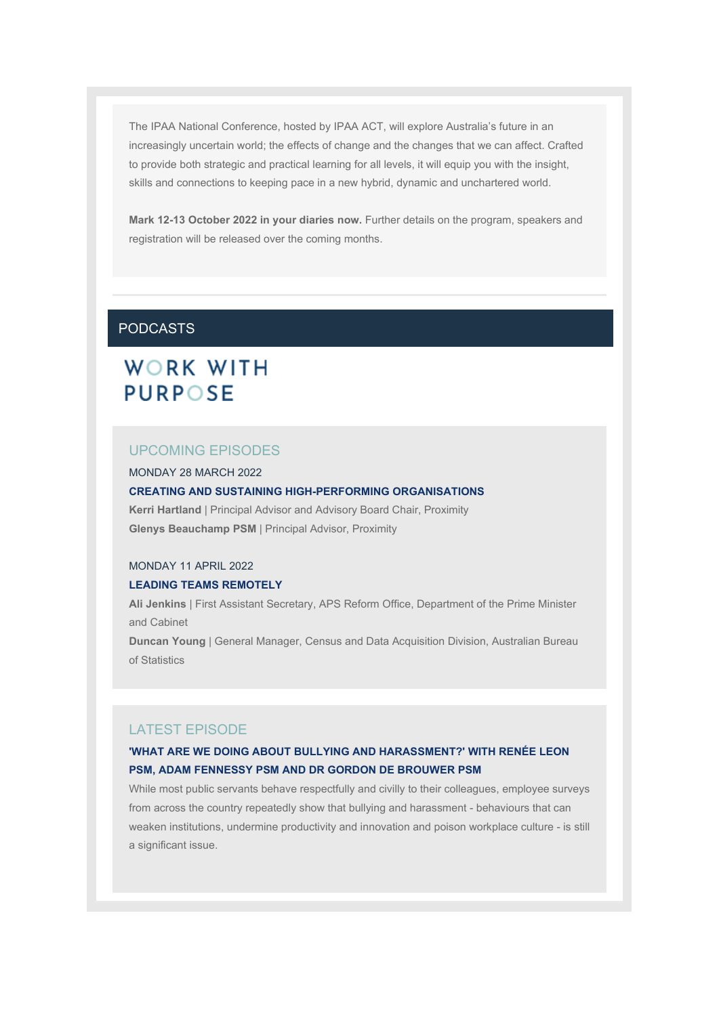The IPAA National Conference, hosted by IPAA ACT, will explore Australia's future in an increasingly uncertain world; the effects of change and the changes that we can affect. Crafted to provide both strategic and practical learning for all levels, it will equip you with the insight, skills and connections to keeping pace in a new hybrid, dynamic and unchartered world.

**Mark 12-13 October 2022 in your diaries now.** Further details on the program, speakers and registration will be released over the coming months.

## PODCASTS

# WORK WITH **PURPOSE**

## UPCOMING EPISODES

MONDAY 28 MARCH 2022

#### **CREATING AND SUSTAINING HIGH-PERFORMING ORGANISATIONS**

**Kerri Hartland** | Principal Advisor and Advisory Board Chair, Proximity **Glenys Beauchamp PSM** | Principal Advisor, Proximity

### MONDAY 11 APRIL 2022

#### **LEADING TEAMS REMOTELY**

**Ali Jenkins** | First Assistant Secretary, APS Reform Office, Department of the Prime Minister and Cabinet

**Duncan Young** | General Manager, Census and Data Acquisition Division, Australian Bureau of Statistics

### LATEST EPISODE

## **'WHAT ARE WE DOING ABOUT BULLYING AND HARASSMENT?' WITH RENÉE LEON PSM, ADAM FENNESSY PSM AND DR GORDON DE BROUWER PSM**

While most public servants behave respectfully and civilly to their colleagues, employee surveys from across the country repeatedly show that bullying and harassment - behaviours that can weaken institutions, undermine productivity and innovation and poison workplace culture - is still a significant issue.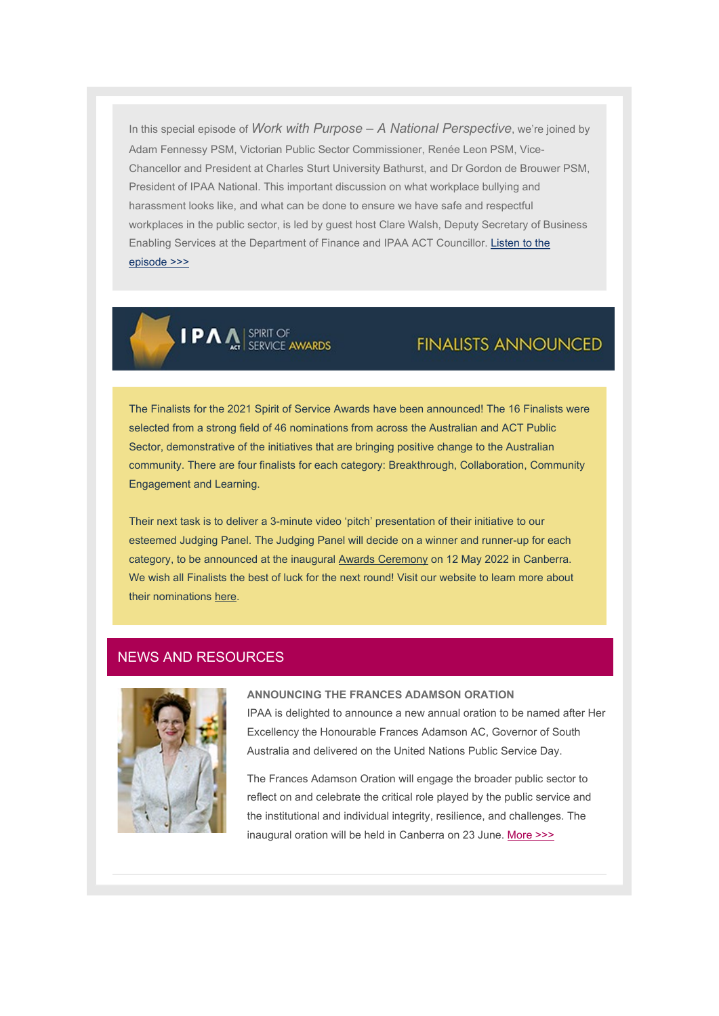In this special episode of *Work with Purpose – A National Perspective*, we're joined by Adam Fennessy PSM, Victorian Public Sector Commissioner, Renée Leon PSM, Vice-Chancellor and President at Charles Sturt University Bathurst, and Dr Gordon de Brouwer PSM, President of IPAA National. This important discussion on what workplace bullying and harassment looks like, and what can be done to ensure we have safe and respectful workplaces in the public sector, is led by guest host Clare Walsh, Deputy Secretary of Business Enabling Services at the Department of Finance and IPAA ACT Councillor. [Listen to the](https://aus01.safelinks.protection.outlook.com/?url=https%3A%2F%2Fipaa.us12.list-manage.com%2Ftrack%2Fclick%3Fu%3Dfb24f2b534c8ee743cb139793%26id%3D4068d6f6b6%26e%3Df01f53c2f2&data=04%7C01%7Csarah.hope%40act.ipaa.org.au%7Ce97286b3b1574c3d8f0308da0c7932a9%7C988ae5fe7f854c17afb1bc28eeec1d16%7C0%7C0%7C637836011931998337%7CUnknown%7CTWFpbGZsb3d8eyJWIjoiMC4wLjAwMDAiLCJQIjoiV2luMzIiLCJBTiI6Ik1haWwiLCJXVCI6Mn0%3D%7C3000&sdata=FmNXpUi%2BzzkCOJX8b7XGbg9BV1goGfYQp%2For5PmWpOo%3D&reserved=0)  [episode >>>](https://aus01.safelinks.protection.outlook.com/?url=https%3A%2F%2Fipaa.us12.list-manage.com%2Ftrack%2Fclick%3Fu%3Dfb24f2b534c8ee743cb139793%26id%3D4068d6f6b6%26e%3Df01f53c2f2&data=04%7C01%7Csarah.hope%40act.ipaa.org.au%7Ce97286b3b1574c3d8f0308da0c7932a9%7C988ae5fe7f854c17afb1bc28eeec1d16%7C0%7C0%7C637836011931998337%7CUnknown%7CTWFpbGZsb3d8eyJWIjoiMC4wLjAwMDAiLCJQIjoiV2luMzIiLCJBTiI6Ik1haWwiLCJXVCI6Mn0%3D%7C3000&sdata=FmNXpUi%2BzzkCOJX8b7XGbg9BV1goGfYQp%2For5PmWpOo%3D&reserved=0)

**IPA** SPIRIT OF

## **FINALISTS ANNOUNCED**

The Finalists for the 2021 Spirit of Service Awards have been announced! The 16 Finalists were selected from a strong field of 46 nominations from across the Australian and ACT Public Sector, demonstrative of the initiatives that are bringing positive change to the Australian community. There are four finalists for each category: Breakthrough, Collaboration, Community Engagement and Learning.

Their next task is to deliver a 3-minute video 'pitch' presentation of their initiative to our esteemed Judging Panel. The Judging Panel will decide on a winner and runner-up for each category, to be announced at the inaugural [Awards Ceremony](https://aus01.safelinks.protection.outlook.com/?url=https%3A%2F%2Fipaa.us12.list-manage.com%2Ftrack%2Fclick%3Fu%3Dfb24f2b534c8ee743cb139793%26id%3Da0a7a3c090%26e%3Df01f53c2f2&data=04%7C01%7Csarah.hope%40act.ipaa.org.au%7Ce97286b3b1574c3d8f0308da0c7932a9%7C988ae5fe7f854c17afb1bc28eeec1d16%7C0%7C0%7C637836011931998337%7CUnknown%7CTWFpbGZsb3d8eyJWIjoiMC4wLjAwMDAiLCJQIjoiV2luMzIiLCJBTiI6Ik1haWwiLCJXVCI6Mn0%3D%7C3000&sdata=L7h6s7G%2Bn1sR31YDIsDD6pAx9Cs1PDY54mcwVV8drq8%3D&reserved=0) on 12 May 2022 in Canberra. We wish all Finalists the best of luck for the next round! Visit our website to learn more about their nominations [here.](https://aus01.safelinks.protection.outlook.com/?url=https%3A%2F%2Fipaa.us12.list-manage.com%2Ftrack%2Fclick%3Fu%3Dfb24f2b534c8ee743cb139793%26id%3D0950a3cb00%26e%3Df01f53c2f2&data=04%7C01%7Csarah.hope%40act.ipaa.org.au%7Ce97286b3b1574c3d8f0308da0c7932a9%7C988ae5fe7f854c17afb1bc28eeec1d16%7C0%7C0%7C637836011931998337%7CUnknown%7CTWFpbGZsb3d8eyJWIjoiMC4wLjAwMDAiLCJQIjoiV2luMzIiLCJBTiI6Ik1haWwiLCJXVCI6Mn0%3D%7C3000&sdata=eg73JssBG9nX5LLuCTCFf%2F6tNPvMIOxYFGKpAax3nCA%3D&reserved=0)

## NEWS AND RESOURCES



#### **ANNOUNCING THE FRANCES ADAMSON ORATION**

IPAA is delighted to announce a new annual oration to be named after Her Excellency the Honourable Frances Adamson AC, Governor of South Australia and delivered on the United Nations Public Service Day.

The Frances Adamson Oration will engage the broader public sector to reflect on and celebrate the critical role played by the public service and the institutional and individual integrity, resilience, and challenges. The inaugural oration will be held in Canberra on 23 June. [More >>>](https://aus01.safelinks.protection.outlook.com/?url=https%3A%2F%2Fipaa.us12.list-manage.com%2Ftrack%2Fclick%3Fu%3Dfb24f2b534c8ee743cb139793%26id%3D5b0fa286bb%26e%3Df01f53c2f2&data=04%7C01%7Csarah.hope%40act.ipaa.org.au%7Ce97286b3b1574c3d8f0308da0c7932a9%7C988ae5fe7f854c17afb1bc28eeec1d16%7C0%7C0%7C637836011931998337%7CUnknown%7CTWFpbGZsb3d8eyJWIjoiMC4wLjAwMDAiLCJQIjoiV2luMzIiLCJBTiI6Ik1haWwiLCJXVCI6Mn0%3D%7C3000&sdata=alen49MR5%2Fu0LWdi8tmAsmhNdjuAsnxjEsqkiZOYCtI%3D&reserved=0)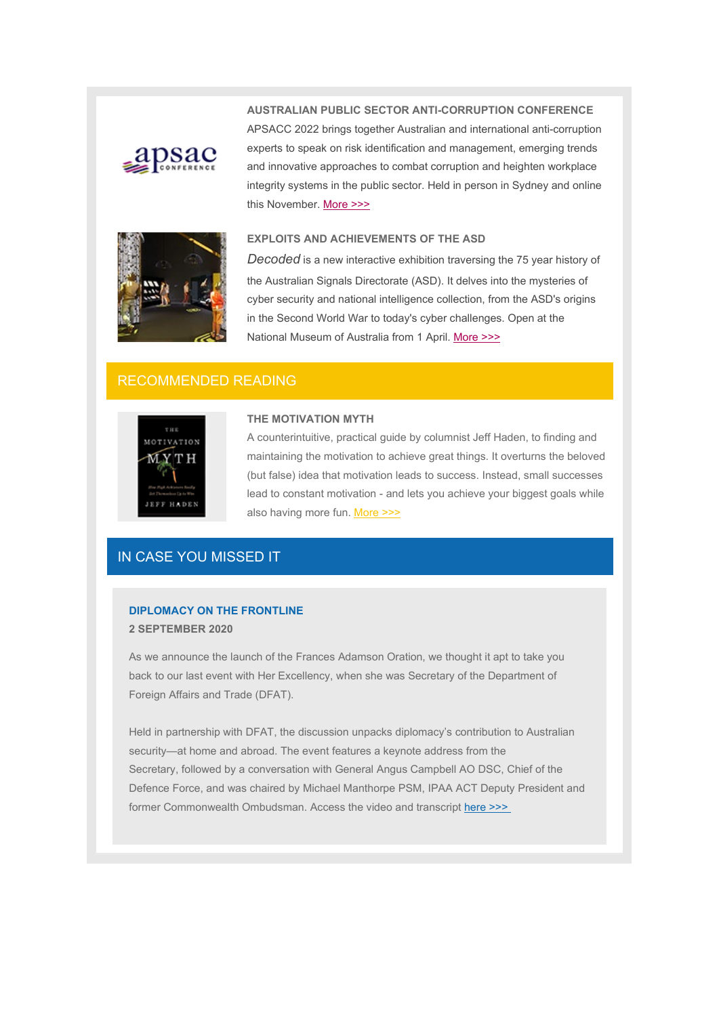

**AUSTRALIAN PUBLIC SECTOR ANTI-CORRUPTION CONFERENCE** APSACC 2022 brings together Australian and international anti-corruption experts to speak on risk identification and management, emerging trends and innovative approaches to combat corruption and heighten workplace integrity systems in the public sector. Held in person in Sydney and online this November. [More >>>](https://aus01.safelinks.protection.outlook.com/?url=https%3A%2F%2Fipaa.us12.list-manage.com%2Ftrack%2Fclick%3Fu%3Dfb24f2b534c8ee743cb139793%26id%3D5ee41a6f7d%26e%3Df01f53c2f2&data=04%7C01%7Csarah.hope%40act.ipaa.org.au%7Ce97286b3b1574c3d8f0308da0c7932a9%7C988ae5fe7f854c17afb1bc28eeec1d16%7C0%7C0%7C637836011931998337%7CUnknown%7CTWFpbGZsb3d8eyJWIjoiMC4wLjAwMDAiLCJQIjoiV2luMzIiLCJBTiI6Ik1haWwiLCJXVCI6Mn0%3D%7C3000&sdata=Yrno0u1OZLnUNlHR0comM6k0MFypSwHqZ5P65nmynUE%3D&reserved=0)



#### **EXPLOITS AND ACHIEVEMENTS OF THE ASD**

*Decoded* is a new interactive exhibition traversing the 75 year history of the Australian Signals Directorate (ASD). It delves into the mysteries of cyber security and national intelligence collection, from the ASD's origins in the Second World War to today's cyber challenges. Open at the National Museum of Australia from 1 April. [More >>>](https://aus01.safelinks.protection.outlook.com/?url=https%3A%2F%2Fipaa.us12.list-manage.com%2Ftrack%2Fclick%3Fu%3Dfb24f2b534c8ee743cb139793%26id%3Df565a5eb34%26e%3Df01f53c2f2&data=04%7C01%7Csarah.hope%40act.ipaa.org.au%7Ce97286b3b1574c3d8f0308da0c7932a9%7C988ae5fe7f854c17afb1bc28eeec1d16%7C0%7C0%7C637836011931998337%7CUnknown%7CTWFpbGZsb3d8eyJWIjoiMC4wLjAwMDAiLCJQIjoiV2luMzIiLCJBTiI6Ik1haWwiLCJXVCI6Mn0%3D%7C3000&sdata=oNHF%2B1%2BR6hGb1dpLTRA9ToVd1qa482eW85eDEyU8YXs%3D&reserved=0)

## RECOMMENDED READING



### **THE MOTIVATION MYTH**

A counterintuitive, practical guide by columnist Jeff Haden, to finding and maintaining the motivation to achieve great things. It overturns the beloved (but false) idea that motivation leads to success. Instead, small successes lead to constant motivation - and lets you achieve your biggest goals while also having more fun. [More >>>](https://aus01.safelinks.protection.outlook.com/?url=https%3A%2F%2Fipaa.us12.list-manage.com%2Ftrack%2Fclick%3Fu%3Dfb24f2b534c8ee743cb139793%26id%3D6ae127a08f%26e%3Df01f53c2f2&data=04%7C01%7Csarah.hope%40act.ipaa.org.au%7Ce97286b3b1574c3d8f0308da0c7932a9%7C988ae5fe7f854c17afb1bc28eeec1d16%7C0%7C0%7C637836011931998337%7CUnknown%7CTWFpbGZsb3d8eyJWIjoiMC4wLjAwMDAiLCJQIjoiV2luMzIiLCJBTiI6Ik1haWwiLCJXVCI6Mn0%3D%7C3000&sdata=XjhCWGaU0clM3lX42qsTofcW4gGSkKIlXgRwrKUH6aE%3D&reserved=0)

## IN CASE YOU MISSED IT

## **DIPLOMACY ON THE FRONTLINE 2 SEPTEMBER 2020**

As we announce the launch of the Frances Adamson Oration, we thought it apt to take you back to our last event with Her Excellency, when she was Secretary of the Department of Foreign Affairs and Trade (DFAT).

Held in partnership with DFAT, the discussion unpacks diplomacy's contribution to Australian security—at home and abroad. The event features a keynote address from the Secretary, followed by a conversation with General Angus Campbell AO DSC, Chief of the Defence Force, and was chaired by Michael Manthorpe PSM, IPAA ACT Deputy President and former Commonwealth Ombudsman. Access the video and transcript [here >>>](https://aus01.safelinks.protection.outlook.com/?url=https%3A%2F%2Fipaa.us12.list-manage.com%2Ftrack%2Fclick%3Fu%3Dfb24f2b534c8ee743cb139793%26id%3Dc0c601ba27%26e%3Df01f53c2f2&data=04%7C01%7Csarah.hope%40act.ipaa.org.au%7Ce97286b3b1574c3d8f0308da0c7932a9%7C988ae5fe7f854c17afb1bc28eeec1d16%7C0%7C0%7C637836011931998337%7CUnknown%7CTWFpbGZsb3d8eyJWIjoiMC4wLjAwMDAiLCJQIjoiV2luMzIiLCJBTiI6Ik1haWwiLCJXVCI6Mn0%3D%7C3000&sdata=dyj236P9sn9OE2cjem1NOKOrtQWUU1iLBf%2FWsmIuPLg%3D&reserved=0)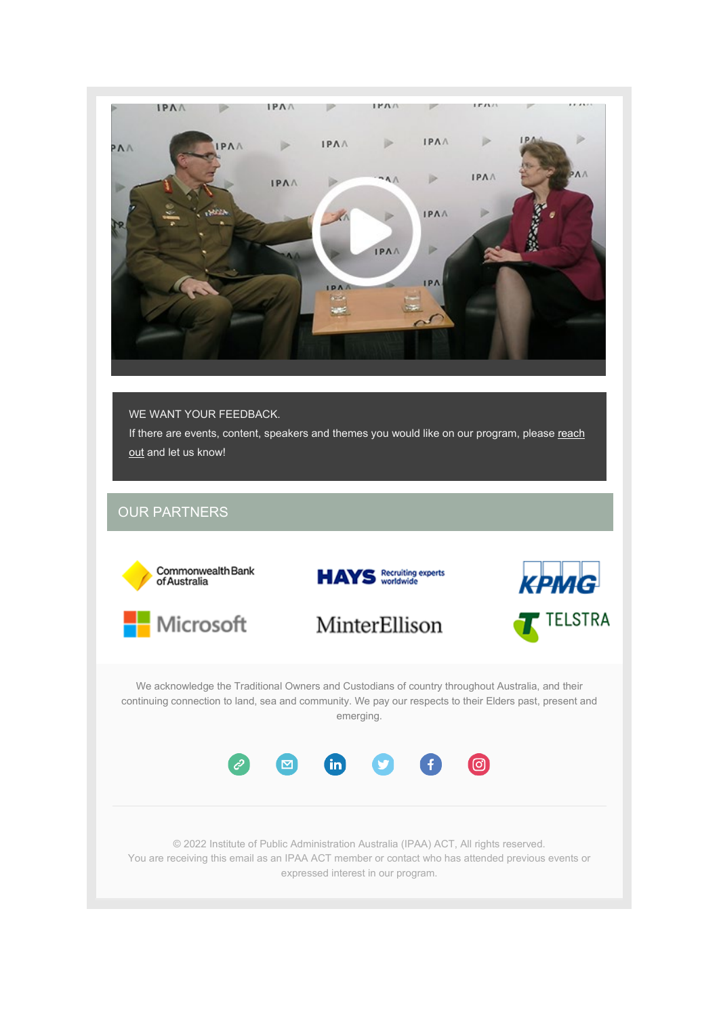